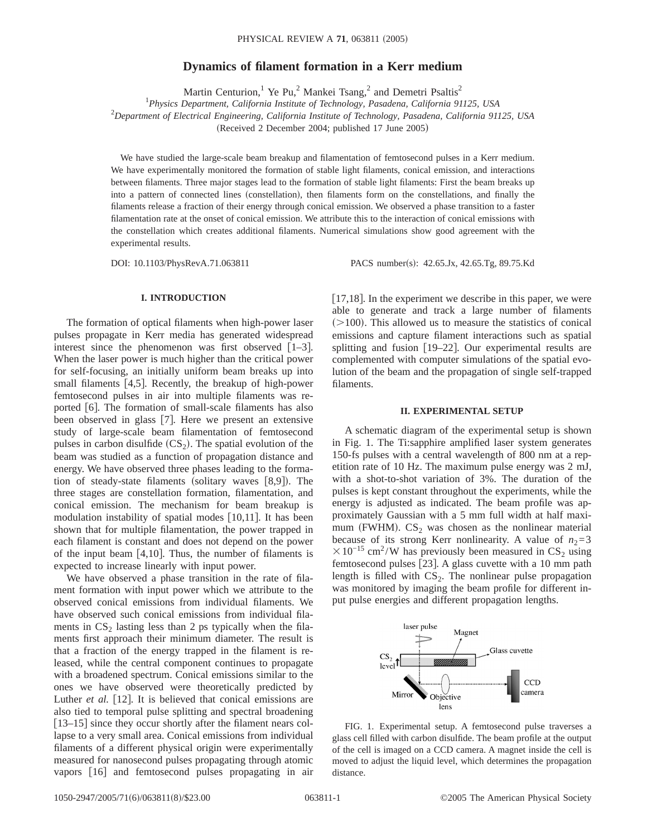## **Dynamics of filament formation in a Kerr medium**

Martin Centurion,<sup>1</sup> Ye Pu,<sup>2</sup> Mankei Tsang,<sup>2</sup> and Demetri Psaltis<sup>2</sup>

1 *Physics Department, California Institute of Technology, Pasadena, California 91125, USA*

2 *Department of Electrical Engineering, California Institute of Technology, Pasadena, California 91125, USA*

 $(Received 2 December 2004; published 17 June 2005)$ 

We have studied the large-scale beam breakup and filamentation of femtosecond pulses in a Kerr medium. We have experimentally monitored the formation of stable light filaments, conical emission, and interactions between filaments. Three major stages lead to the formation of stable light filaments: First the beam breaks up into a pattern of connected lines (constellation), then filaments form on the constellations, and finally the filaments release a fraction of their energy through conical emission. We observed a phase transition to a faster filamentation rate at the onset of conical emission. We attribute this to the interaction of conical emissions with the constellation which creates additional filaments. Numerical simulations show good agreement with the experimental results.

DOI: 10.1103/PhysRevA.71.063811 PACS number(s): 42.65.Jx, 42.65.Tg, 89.75.Kd

### **I. INTRODUCTION**

The formation of optical filaments when high-power laser pulses propagate in Kerr media has generated widespread interest since the phenomenon was first observed  $[1-3]$ . When the laser power is much higher than the critical power for self-focusing, an initially uniform beam breaks up into small filaments  $[4,5]$ . Recently, the breakup of high-power femtosecond pulses in air into multiple filaments was reported  $\lceil 6 \rceil$ . The formation of small-scale filaments has also been observed in glass  $[7]$ . Here we present an extensive study of large-scale beam filamentation of femtosecond pulses in carbon disulfide  $(CS_2)$ . The spatial evolution of the beam was studied as a function of propagation distance and energy. We have observed three phases leading to the formation of steady-state filaments (solitary waves  $[8,9]$ ). The three stages are constellation formation, filamentation, and conical emission. The mechanism for beam breakup is modulation instability of spatial modes  $[10,11]$ . It has been shown that for multiple filamentation, the power trapped in each filament is constant and does not depend on the power of the input beam  $[4,10]$ . Thus, the number of filaments is expected to increase linearly with input power.

We have observed a phase transition in the rate of filament formation with input power which we attribute to the observed conical emissions from individual filaments. We have observed such conical emissions from individual filaments in  $CS_2$  lasting less than 2 ps typically when the filaments first approach their minimum diameter. The result is that a fraction of the energy trapped in the filament is released, while the central component continues to propagate with a broadened spectrum. Conical emissions similar to the ones we have observed were theoretically predicted by Luther *et al.* [12]. It is believed that conical emissions are also tied to temporal pulse splitting and spectral broadening [13–15] since they occur shortly after the filament nears collapse to a very small area. Conical emissions from individual filaments of a different physical origin were experimentally measured for nanosecond pulses propagating through atomic vapors [16] and femtosecond pulses propagating in air [ $17,18$ ]. In the experiment we describe in this paper, we were able to generate and track a large number of filaments  $(>100)$ . This allowed us to measure the statistics of conical emissions and capture filament interactions such as spatial splitting and fusion  $[19-22]$ . Our experimental results are complemented with computer simulations of the spatial evolution of the beam and the propagation of single self-trapped filaments.

#### **II. EXPERIMENTAL SETUP**

A schematic diagram of the experimental setup is shown in Fig. 1. The Ti:sapphire amplified laser system generates 150-fs pulses with a central wavelength of 800 nm at a repetition rate of 10 Hz. The maximum pulse energy was 2 mJ, with a shot-to-shot variation of 3%. The duration of the pulses is kept constant throughout the experiments, while the energy is adjusted as indicated. The beam profile was approximately Gaussian with a 5 mm full width at half maximum (FWHM).  $CS_2$  was chosen as the nonlinear material because of its strong Kerr nonlinearity. A value of  $n_2=3$  $\times$ 10<sup>-15</sup> cm<sup>2</sup>/W has previously been measured in CS<sub>2</sub> using femtosecond pulses [23]. A glass cuvette with a 10 mm path length is filled with  $CS_2$ . The nonlinear pulse propagation was monitored by imaging the beam profile for different input pulse energies and different propagation lengths.



FIG. 1. Experimental setup. A femtosecond pulse traverses a glass cell filled with carbon disulfide. The beam profile at the output of the cell is imaged on a CCD camera. A magnet inside the cell is moved to adjust the liquid level, which determines the propagation distance.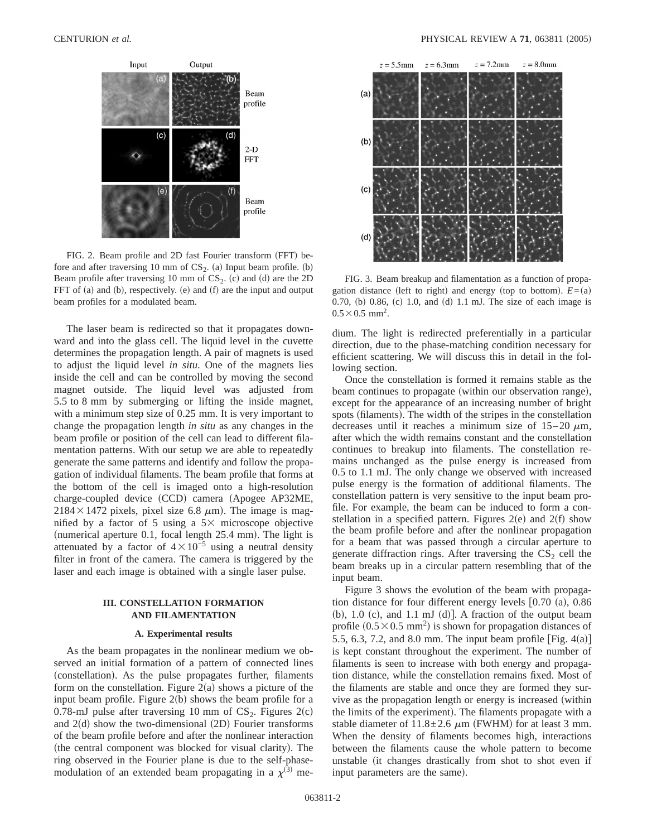

FIG. 2. Beam profile and 2D fast Fourier transform (FFT) before and after traversing 10 mm of  $CS_2$ . (a) Input beam profile. (b) Beam profile after traversing 10 mm of  $CS_2$ . (c) and (d) are the 2D FFT of (a) and (b), respectively. (e) and  $(f)$  are the input and output beam profiles for a modulated beam.

The laser beam is redirected so that it propagates downward and into the glass cell. The liquid level in the cuvette determines the propagation length. A pair of magnets is used to adjust the liquid level *in situ*. One of the magnets lies inside the cell and can be controlled by moving the second magnet outside. The liquid level was adjusted from 5.5 to 8 mm by submerging or lifting the inside magnet, with a minimum step size of 0.25 mm. It is very important to change the propagation length *in situ* as any changes in the beam profile or position of the cell can lead to different filamentation patterns. With our setup we are able to repeatedly generate the same patterns and identify and follow the propagation of individual filaments. The beam profile that forms at the bottom of the cell is imaged onto a high-resolution charge-coupled device (CCD) camera (Apogee AP32ME,  $2184 \times 1472$  pixels, pixel size 6.8  $\mu$ m). The image is magnified by a factor of 5 using a  $5\times$  microscope objective (numerical aperture  $0.1$ , focal length  $25.4$  mm). The light is attenuated by a factor of  $4 \times 10^{-5}$  using a neutral density filter in front of the camera. The camera is triggered by the laser and each image is obtained with a single laser pulse.

# **III. CONSTELLATION FORMATION AND FILAMENTATION**

#### **A. Experimental results**

As the beam propagates in the nonlinear medium we observed an initial formation of a pattern of connected lines (constellation). As the pulse propagates further, filaments form on the constellation. Figure  $2(a)$  shows a picture of the input beam profile. Figure  $2(b)$  shows the beam profile for a 0.78-mJ pulse after traversing 10 mm of  $CS_2$ . Figures  $2(c)$ and  $2(d)$  show the two-dimensional  $(2D)$  Fourier transforms of the beam profile before and after the nonlinear interaction (the central component was blocked for visual clarity). The ring observed in the Fourier plane is due to the self-phasemodulation of an extended beam propagating in a  $\chi^{(3)}$  me-



FIG. 3. Beam breakup and filamentation as a function of propagation distance (left to right) and energy (top to bottom).  $E=(a)$ 0.70, (b) 0.86, (c) 1.0, and (d) 1.1 mJ. The size of each image is  $0.5 \times 0.5$  mm<sup>2</sup>.

dium. The light is redirected preferentially in a particular direction, due to the phase-matching condition necessary for efficient scattering. We will discuss this in detail in the following section.

Once the constellation is formed it remains stable as the beam continues to propagate (within our observation range), except for the appearance of an increasing number of bright spots (filaments). The width of the stripes in the constellation decreases until it reaches a minimum size of  $15-20 \mu m$ , after which the width remains constant and the constellation continues to breakup into filaments. The constellation remains unchanged as the pulse energy is increased from 0.5 to 1.1 mJ. The only change we observed with increased pulse energy is the formation of additional filaments. The constellation pattern is very sensitive to the input beam profile. For example, the beam can be induced to form a constellation in a specified pattern. Figures  $2(e)$  and  $2(f)$  show the beam profile before and after the nonlinear propagation for a beam that was passed through a circular aperture to generate diffraction rings. After traversing the  $CS_2$  cell the beam breaks up in a circular pattern resembling that of the input beam.

Figure 3 shows the evolution of the beam with propagation distance for four different energy levels  $[0.70 \text{ (a)}, 0.86$ (b), 1.0 (c), and 1.1 mJ (d)]. A fraction of the output beam profile  $(0.5 \times 0.5 \text{ mm}^2)$  is shown for propagation distances of 5.5, 6.3, 7.2, and 8.0 mm. The input beam profile  $[Fig. 4(a)]$ is kept constant throughout the experiment. The number of filaments is seen to increase with both energy and propagation distance, while the constellation remains fixed. Most of the filaments are stable and once they are formed they survive as the propagation length or energy is increased (within the limits of the experiment). The filaments propagate with a stable diameter of  $11.8 \pm 2.6 \mu m$  (FWHM) for at least 3 mm. When the density of filaments becomes high, interactions between the filaments cause the whole pattern to become unstable (it changes drastically from shot to shot even if input parameters are the same).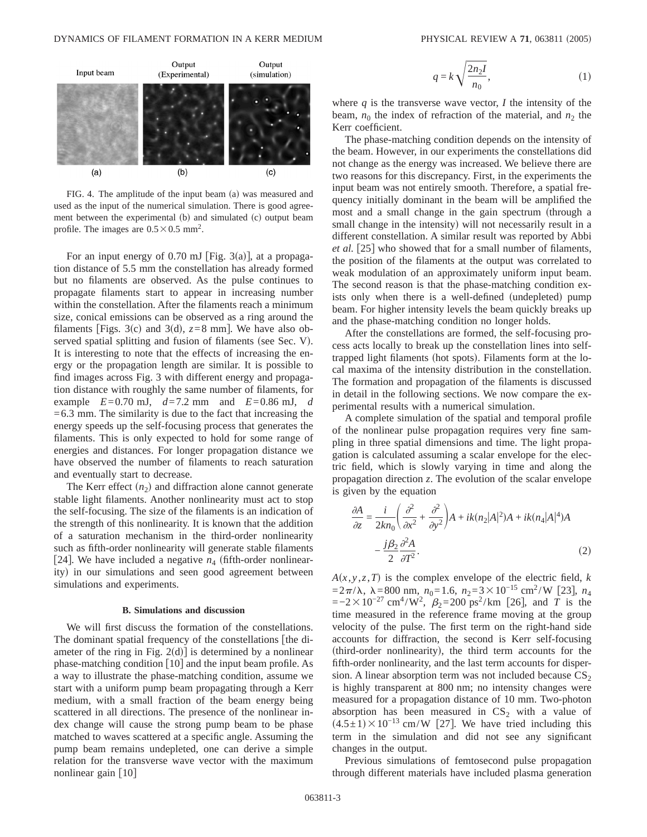

FIG. 4. The amplitude of the input beam (a) was measured and used as the input of the numerical simulation. There is good agreement between the experimental (b) and simulated (c) output beam profile. The images are  $0.5 \times 0.5$  mm<sup>2</sup>.

For an input energy of 0.70 mJ [Fig. 3(a)], at a propagation distance of 5.5 mm the constellation has already formed but no filaments are observed. As the pulse continues to propagate filaments start to appear in increasing number within the constellation. After the filaments reach a minimum size, conical emissions can be observed as a ring around the filaments [Figs. 3(c) and 3(d),  $z=8$  mm]. We have also observed spatial splitting and fusion of filaments (see Sec. V). It is interesting to note that the effects of increasing the energy or the propagation length are similar. It is possible to find images across Fig. 3 with different energy and propagation distance with roughly the same number of filaments, for example  $E=0.70$  mJ,  $d=7.2$  mm and  $E=0.86$  mJ,  $d$  $=6.3$  mm. The similarity is due to the fact that increasing the energy speeds up the self-focusing process that generates the filaments. This is only expected to hold for some range of energies and distances. For longer propagation distance we have observed the number of filaments to reach saturation and eventually start to decrease.

The Kerr effect  $(n_2)$  and diffraction alone cannot generate stable light filaments. Another nonlinearity must act to stop the self-focusing. The size of the filaments is an indication of the strength of this nonlinearity. It is known that the addition of a saturation mechanism in the third-order nonlinearity such as fifth-order nonlinearity will generate stable filaments [24]. We have included a negative  $n_4$  (fifth-order nonlinearity) in our simulations and seen good agreement between simulations and experiments.

#### **B. Simulations and discussion**

We will first discuss the formation of the constellations. The dominant spatial frequency of the constellations [the diameter of the ring in Fig.  $2(d)$  is determined by a nonlinear phase-matching condition  $\lceil 10 \rceil$  and the input beam profile. As a way to illustrate the phase-matching condition, assume we start with a uniform pump beam propagating through a Kerr medium, with a small fraction of the beam energy being scattered in all directions. The presence of the nonlinear index change will cause the strong pump beam to be phase matched to waves scattered at a specific angle. Assuming the pump beam remains undepleted, one can derive a simple relation for the transverse wave vector with the maximum nonlinear gain  $[10]$ 

$$
q = k \sqrt{\frac{2n_2 I}{n_0}},\tag{1}
$$

where  $q$  is the transverse wave vector,  $I$  the intensity of the beam,  $n_0$  the index of refraction of the material, and  $n_2$  the Kerr coefficient.

The phase-matching condition depends on the intensity of the beam. However, in our experiments the constellations did not change as the energy was increased. We believe there are two reasons for this discrepancy. First, in the experiments the input beam was not entirely smooth. Therefore, a spatial frequency initially dominant in the beam will be amplified the most and a small change in the gain spectrum (through a small change in the intensity) will not necessarily result in a different constellation. A similar result was reported by Abbi *et al.* [25] who showed that for a small number of filaments, the position of the filaments at the output was correlated to weak modulation of an approximately uniform input beam. The second reason is that the phase-matching condition exists only when there is a well-defined (undepleted) pump beam. For higher intensity levels the beam quickly breaks up and the phase-matching condition no longer holds.

After the constellations are formed, the self-focusing process acts locally to break up the constellation lines into selftrapped light filaments (hot spots). Filaments form at the local maxima of the intensity distribution in the constellation. The formation and propagation of the filaments is discussed in detail in the following sections. We now compare the experimental results with a numerical simulation.

A complete simulation of the spatial and temporal profile of the nonlinear pulse propagation requires very fine sampling in three spatial dimensions and time. The light propagation is calculated assuming a scalar envelope for the electric field, which is slowly varying in time and along the propagation direction *z*. The evolution of the scalar envelope is given by the equation

$$
\frac{\partial A}{\partial z} = \frac{i}{2kn_0} \left( \frac{\partial^2}{\partial x^2} + \frac{\partial^2}{\partial y^2} \right) A + ik(n_2|A|^2)A + ik(n_4|A|^4)A
$$

$$
- \frac{j\beta_2}{2} \frac{\partial^2 A}{\partial T^2}.
$$
(2)

 $A(x, y, z, T)$  is the complex envelope of the electric field, *k*  $=2\pi/\lambda$ ,  $\lambda$ =800 nm,  $n_0$ =1.6,  $n_2$ =3×10<sup>-15</sup> cm<sup>2</sup>/W [23],  $n_4$  $=-2 \times 10^{-27}$  cm<sup>4</sup>/W<sup>2</sup>,  $\beta_2 = 200$  ps<sup>2</sup>/km [26], and *T* is the time measured in the reference frame moving at the group velocity of the pulse. The first term on the right-hand side accounts for diffraction, the second is Kerr self-focusing (third-order nonlinearity), the third term accounts for the fifth-order nonlinearity, and the last term accounts for dispersion. A linear absorption term was not included because  $CS_2$ is highly transparent at 800 nm; no intensity changes were measured for a propagation distance of 10 mm. Two-photon absorption has been measured in  $CS_2$  with a value of  $(4.5±1)\times10^{-13}$  cm/W [27]. We have tried including this term in the simulation and did not see any significant changes in the output.

Previous simulations of femtosecond pulse propagation through different materials have included plasma generation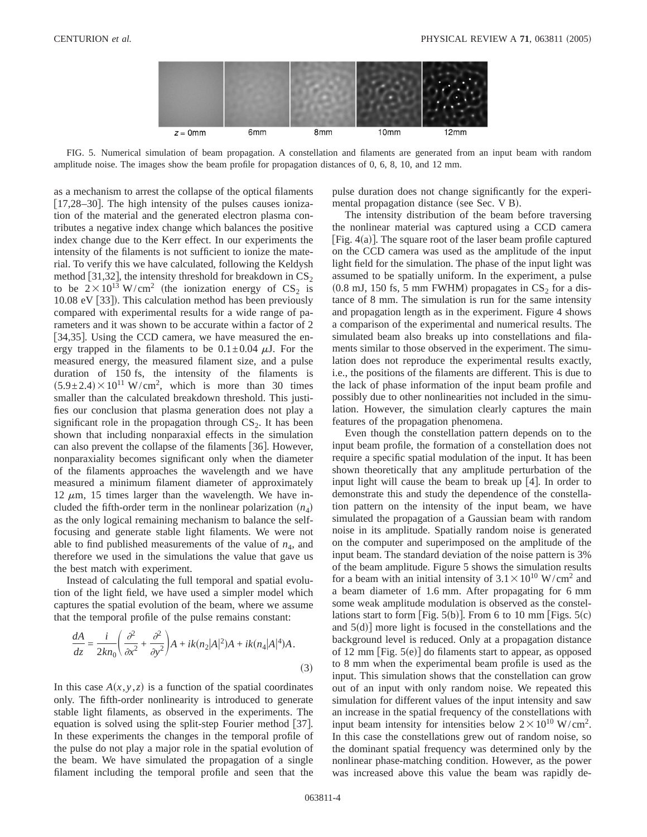

FIG. 5. Numerical simulation of beam propagation. A constellation and filaments are generated from an input beam with random amplitude noise. The images show the beam profile for propagation distances of 0, 6, 8, 10, and 12 mm.

as a mechanism to arrest the collapse of the optical filaments  $[17,28-30]$ . The high intensity of the pulses causes ionization of the material and the generated electron plasma contributes a negative index change which balances the positive index change due to the Kerr effect. In our experiments the intensity of the filaments is not sufficient to ionize the material. To verify this we have calculated, following the Keldysh method [31,32], the intensity threshold for breakdown in  $CS_2$ to be  $2 \times 10^{13}$  W/cm<sup>2</sup> (the ionization energy of CS<sub>2</sub> is 10.08 eV  $\lceil 33 \rceil$ ). This calculation method has been previously compared with experimental results for a wide range of parameters and it was shown to be accurate within a factor of 2 [34,35]. Using the CCD camera, we have measured the energy trapped in the filaments to be  $0.1 \pm 0.04 \mu J$ . For the measured energy, the measured filament size, and a pulse duration of 150 fs, the intensity of the filaments is  $(5.9 \pm 2.4) \times 10^{11}$  W/cm<sup>2</sup>, which is more than 30 times smaller than the calculated breakdown threshold. This justifies our conclusion that plasma generation does not play a significant role in the propagation through  $CS_2$ . It has been shown that including nonparaxial effects in the simulation can also prevent the collapse of the filaments  $[36]$ . However, nonparaxiality becomes significant only when the diameter of the filaments approaches the wavelength and we have measured a minimum filament diameter of approximately 12  $\mu$ m, 15 times larger than the wavelength. We have included the fifth-order term in the nonlinear polarization  $(n_4)$ as the only logical remaining mechanism to balance the selffocusing and generate stable light filaments. We were not able to find published measurements of the value of  $n_4$ , and therefore we used in the simulations the value that gave us the best match with experiment.

Instead of calculating the full temporal and spatial evolution of the light field, we have used a simpler model which captures the spatial evolution of the beam, where we assume that the temporal profile of the pulse remains constant:

$$
\frac{dA}{dz} = \frac{i}{2kn_0} \left( \frac{\partial^2}{\partial x^2} + \frac{\partial^2}{\partial y^2} \right) A + ik(n_2|A|^2)A + ik(n_4|A|^4)A.
$$
\n(3)

In this case  $A(x, y, z)$  is a function of the spatial coordinates only. The fifth-order nonlinearity is introduced to generate stable light filaments, as observed in the experiments. The equation is solved using the split-step Fourier method  $[37]$ . In these experiments the changes in the temporal profile of the pulse do not play a major role in the spatial evolution of the beam. We have simulated the propagation of a single filament including the temporal profile and seen that the pulse duration does not change significantly for the experimental propagation distance (see Sec. V B).

The intensity distribution of the beam before traversing the nonlinear material was captured using a CCD camera [Fig.  $4(a)$ ]. The square root of the laser beam profile captured on the CCD camera was used as the amplitude of the input light field for the simulation. The phase of the input light was assumed to be spatially uniform. In the experiment, a pulse  $(0.8 \text{ mJ}, 150 \text{ fs}, 5 \text{ mm}$  FWHM) propagates in  $CS_2$  for a distance of 8 mm. The simulation is run for the same intensity and propagation length as in the experiment. Figure 4 shows a comparison of the experimental and numerical results. The simulated beam also breaks up into constellations and filaments similar to those observed in the experiment. The simulation does not reproduce the experimental results exactly, i.e., the positions of the filaments are different. This is due to the lack of phase information of the input beam profile and possibly due to other nonlinearities not included in the simulation. However, the simulation clearly captures the main features of the propagation phenomena.

Even though the constellation pattern depends on to the input beam profile, the formation of a constellation does not require a specific spatial modulation of the input. It has been shown theoretically that any amplitude perturbation of the input light will cause the beam to break up  $[4]$ . In order to demonstrate this and study the dependence of the constellation pattern on the intensity of the input beam, we have simulated the propagation of a Gaussian beam with random noise in its amplitude. Spatially random noise is generated on the computer and superimposed on the amplitude of the input beam. The standard deviation of the noise pattern is 3% of the beam amplitude. Figure 5 shows the simulation results for a beam with an initial intensity of  $3.1 \times 10^{10}$  W/cm<sup>2</sup> and a beam diameter of 1.6 mm. After propagating for 6 mm some weak amplitude modulation is observed as the constellations start to form [Fig.  $5(b)$ ]. From 6 to 10 mm [Figs.  $5(c)$ ] and  $5(d)$ ] more light is focused in the constellations and the background level is reduced. Only at a propagation distance of 12 mm [Fig.  $5(e)$ ] do filaments start to appear, as opposed to 8 mm when the experimental beam profile is used as the input. This simulation shows that the constellation can grow out of an input with only random noise. We repeated this simulation for different values of the input intensity and saw an increase in the spatial frequency of the constellations with input beam intensity for intensities below  $2 \times 10^{10}$  W/cm<sup>2</sup>. In this case the constellations grew out of random noise, so the dominant spatial frequency was determined only by the nonlinear phase-matching condition. However, as the power was increased above this value the beam was rapidly de-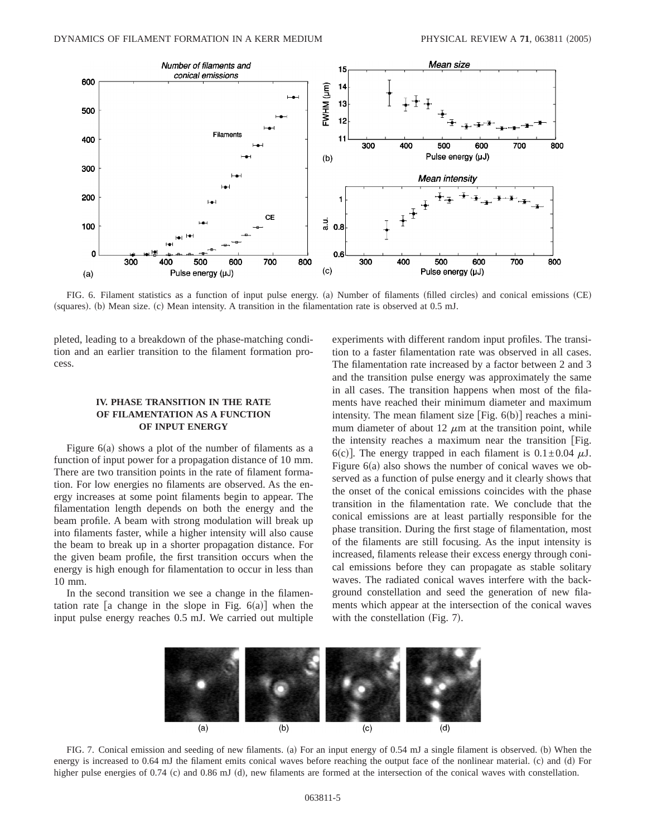

FIG. 6. Filament statistics as a function of input pulse energy. (a) Number of filaments (filled circles) and conical emissions (CE) (squares). (b) Mean size. (c) Mean intensity. A transition in the filamentation rate is observed at 0.5 mJ.

pleted, leading to a breakdown of the phase-matching condition and an earlier transition to the filament formation process.

## **IV. PHASE TRANSITION IN THE RATE OF FILAMENTATION AS A FUNCTION OF INPUT ENERGY**

Figure  $6(a)$  shows a plot of the number of filaments as a function of input power for a propagation distance of 10 mm. There are two transition points in the rate of filament formation. For low energies no filaments are observed. As the energy increases at some point filaments begin to appear. The filamentation length depends on both the energy and the beam profile. A beam with strong modulation will break up into filaments faster, while a higher intensity will also cause the beam to break up in a shorter propagation distance. For the given beam profile, the first transition occurs when the energy is high enough for filamentation to occur in less than 10 mm.

In the second transition we see a change in the filamentation rate [a change in the slope in Fig.  $6(a)$ ] when the input pulse energy reaches 0.5 mJ. We carried out multiple experiments with different random input profiles. The transition to a faster filamentation rate was observed in all cases. The filamentation rate increased by a factor between 2 and 3 and the transition pulse energy was approximately the same in all cases. The transition happens when most of the filaments have reached their minimum diameter and maximum intensity. The mean filament size  $[Fig. 6(b)]$  reaches a minimum diameter of about 12  $\mu$ m at the transition point, while the intensity reaches a maximum near the transition fFig. 6(c)]. The energy trapped in each filament is  $0.1 \pm 0.04 \mu J$ . Figure  $6(a)$  also shows the number of conical waves we observed as a function of pulse energy and it clearly shows that the onset of the conical emissions coincides with the phase transition in the filamentation rate. We conclude that the conical emissions are at least partially responsible for the phase transition. During the first stage of filamentation, most of the filaments are still focusing. As the input intensity is increased, filaments release their excess energy through conical emissions before they can propagate as stable solitary waves. The radiated conical waves interfere with the background constellation and seed the generation of new filaments which appear at the intersection of the conical waves with the constellation (Fig.  $7$ ).

![](_page_4_Figure_9.jpeg)

FIG. 7. Conical emission and seeding of new filaments. (a) For an input energy of 0.54 mJ a single filament is observed. (b) When the energy is increased to 0.64 mJ the filament emits conical waves before reaching the output face of the nonlinear material. (c) and (d) For higher pulse energies of 0.74 (c) and 0.86 mJ (d), new filaments are formed at the intersection of the conical waves with constellation.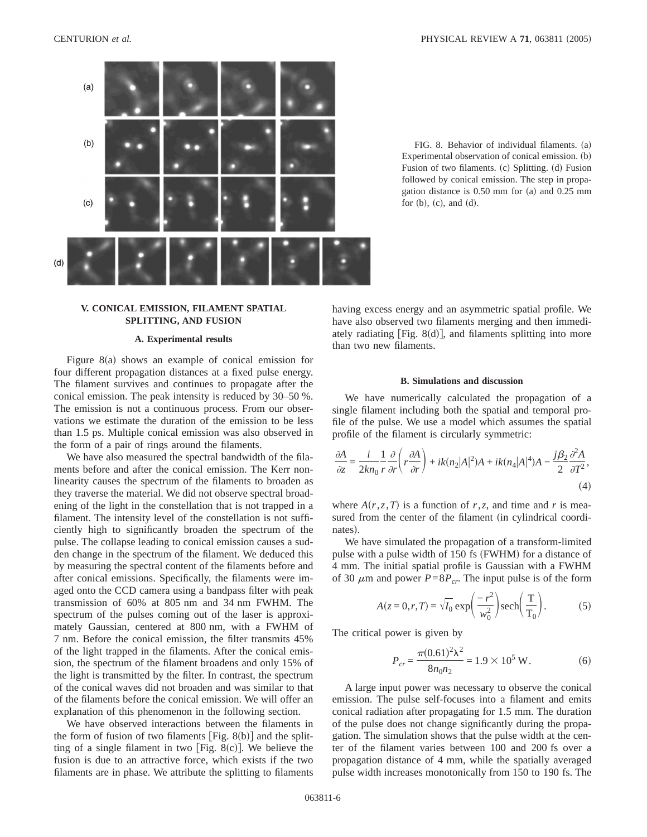![](_page_5_Figure_2.jpeg)

# **V. CONICAL EMISSION, FILAMENT SPATIAL SPLITTING, AND FUSION**

#### **A. Experimental results**

Figure  $8(a)$  shows an example of conical emission for four different propagation distances at a fixed pulse energy. The filament survives and continues to propagate after the conical emission. The peak intensity is reduced by 30–50 %. The emission is not a continuous process. From our observations we estimate the duration of the emission to be less than 1.5 ps. Multiple conical emission was also observed in the form of a pair of rings around the filaments.

We have also measured the spectral bandwidth of the filaments before and after the conical emission. The Kerr nonlinearity causes the spectrum of the filaments to broaden as they traverse the material. We did not observe spectral broadening of the light in the constellation that is not trapped in a filament. The intensity level of the constellation is not sufficiently high to significantly broaden the spectrum of the pulse. The collapse leading to conical emission causes a sudden change in the spectrum of the filament. We deduced this by measuring the spectral content of the filaments before and after conical emissions. Specifically, the filaments were imaged onto the CCD camera using a bandpass filter with peak transmission of 60% at 805 nm and 34 nm FWHM. The spectrum of the pulses coming out of the laser is approximately Gaussian, centered at 800 nm, with a FWHM of 7 nm. Before the conical emission, the filter transmits 45% of the light trapped in the filaments. After the conical emission, the spectrum of the filament broadens and only 15% of the light is transmitted by the filter. In contrast, the spectrum of the conical waves did not broaden and was similar to that of the filaments before the conical emission. We will offer an explanation of this phenomenon in the following section.

We have observed interactions between the filaments in the form of fusion of two filaments  $[Fig. 8(b)]$  and the splitting of a single filament in two [Fig. 8(c)]. We believe the fusion is due to an attractive force, which exists if the two filaments are in phase. We attribute the splitting to filaments

FIG. 8. Behavior of individual filaments. (a) Experimental observation of conical emission.  $(b)$ Fusion of two filaments. (c) Splitting. (d) Fusion followed by conical emission. The step in propagation distance is  $0.50$  mm for (a) and  $0.25$  mm for  $(b)$ ,  $(c)$ , and  $(d)$ .

having excess energy and an asymmetric spatial profile. We have also observed two filaments merging and then immediately radiating  $[Fig. 8(d)]$ , and filaments splitting into more than two new filaments.

#### **B. Simulations and discussion**

We have numerically calculated the propagation of a single filament including both the spatial and temporal profile of the pulse. We use a model which assumes the spatial profile of the filament is circularly symmetric:

$$
\frac{\partial A}{\partial z} = \frac{i}{2kn_0} \frac{1}{r} \frac{\partial}{\partial r} \left( r \frac{\partial A}{\partial r} \right) + ik(n_2|A|^2)A + ik(n_4|A|^4)A - \frac{j\beta_2}{2} \frac{\partial^2 A}{\partial T^2},\tag{4}
$$

where  $A(r, z, T)$  is a function of *r*,*z*, and time and *r* is measured from the center of the filament (in cylindrical coordinates).

We have simulated the propagation of a transform-limited pulse with a pulse width of 150 fs (FWHM) for a distance of 4 mm. The initial spatial profile is Gaussian with a FWHM of 30  $\mu$ m and power  $P=8P_{cr}$ . The input pulse is of the form

$$
A(z=0,r,T) = \sqrt{I_0} \exp\left(\frac{-r^2}{w_0^2}\right) \operatorname{sech}\left(\frac{T}{T_0}\right). \tag{5}
$$

The critical power is given by

$$
P_{cr} = \frac{\pi (0.61)^2 \lambda^2}{8n_0 n_2} = 1.9 \times 10^5 \text{ W}.
$$
 (6)

A large input power was necessary to observe the conical emission. The pulse self-focuses into a filament and emits conical radiation after propagating for 1.5 mm. The duration of the pulse does not change significantly during the propagation. The simulation shows that the pulse width at the center of the filament varies between 100 and 200 fs over a propagation distance of 4 mm, while the spatially averaged pulse width increases monotonically from 150 to 190 fs. The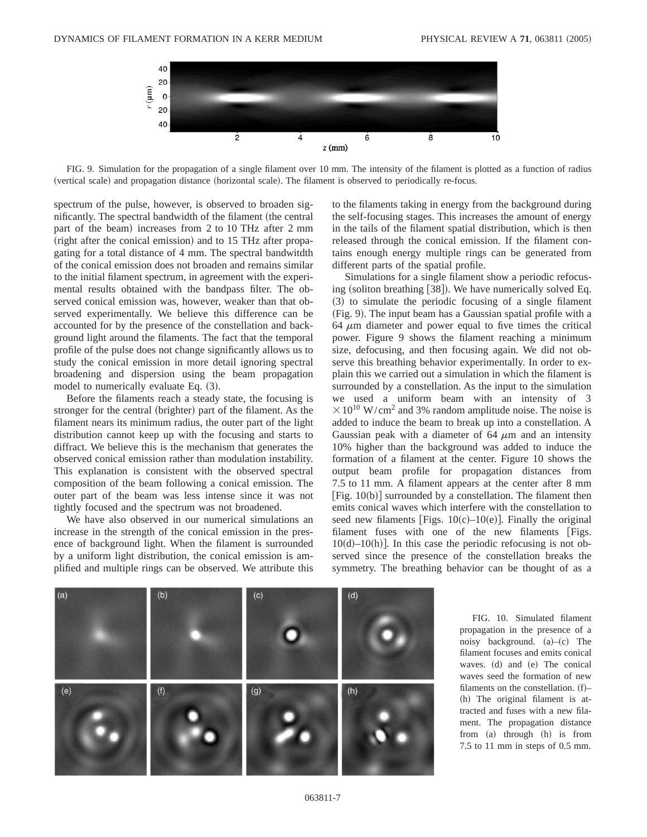![](_page_6_Figure_2.jpeg)

FIG. 9. Simulation for the propagation of a single filament over 10 mm. The intensity of the filament is plotted as a function of radius (vertical scale) and propagation distance (horizontal scale). The filament is observed to periodically re-focus.

spectrum of the pulse, however, is observed to broaden significantly. The spectral bandwidth of the filament (the central part of the beam) increases from 2 to 10 THz after 2 mm (right after the conical emission) and to 15 THz after propagating for a total distance of 4 mm. The spectral bandwitdth of the conical emission does not broaden and remains similar to the initial filament spectrum, in agreement with the experimental results obtained with the bandpass filter. The observed conical emission was, however, weaker than that observed experimentally. We believe this difference can be accounted for by the presence of the constellation and background light around the filaments. The fact that the temporal profile of the pulse does not change significantly allows us to study the conical emission in more detail ignoring spectral broadening and dispersion using the beam propagation model to numerically evaluate Eq.  $(3)$ .

Before the filaments reach a steady state, the focusing is stronger for the central (brighter) part of the filament. As the filament nears its minimum radius, the outer part of the light distribution cannot keep up with the focusing and starts to diffract. We believe this is the mechanism that generates the observed conical emission rather than modulation instability. This explanation is consistent with the observed spectral composition of the beam following a conical emission. The outer part of the beam was less intense since it was not tightly focused and the spectrum was not broadened.

We have also observed in our numerical simulations an increase in the strength of the conical emission in the presence of background light. When the filament is surrounded by a uniform light distribution, the conical emission is amplified and multiple rings can be observed. We attribute this to the filaments taking in energy from the background during the self-focusing stages. This increases the amount of energy in the tails of the filament spatial distribution, which is then released through the conical emission. If the filament contains enough energy multiple rings can be generated from different parts of the spatial profile.

Simulations for a single filament show a periodic refocusing (soliton breathing  $[38]$ ). We have numerically solved Eq.  $(3)$  to simulate the periodic focusing of a single filament  $(Fig. 9)$ . The input beam has a Gaussian spatial profile with a 64  $\mu$ m diameter and power equal to five times the critical power. Figure 9 shows the filament reaching a minimum size, defocusing, and then focusing again. We did not observe this breathing behavior experimentally. In order to explain this we carried out a simulation in which the filament is surrounded by a constellation. As the input to the simulation we used a uniform beam with an intensity of 3  $\times$  10<sup>10</sup> W/cm<sup>2</sup> and 3% random amplitude noise. The noise is added to induce the beam to break up into a constellation. A Gaussian peak with a diameter of  $64 \mu m$  and an intensity 10% higher than the background was added to induce the formation of a filament at the center. Figure 10 shows the output beam profile for propagation distances from 7.5 to 11 mm. A filament appears at the center after 8 mm [Fig.  $10(b)$ ] surrounded by a constellation. The filament then emits conical waves which interfere with the constellation to seed new filaments [Figs.  $10(c)$ – $10(e)$ ]. Finally the original filament fuses with one of the new filaments [Figs.  $10(d)-10(h)$ ]. In this case the periodic refocusing is not observed since the presence of the constellation breaks the symmetry. The breathing behavior can be thought of as a

![](_page_6_Figure_9.jpeg)

FIG. 10. Simulated filament propagation in the presence of a noisy background.  $(a)$ – $(c)$  The filament focuses and emits conical waves. (d) and (e) The conical waves seed the formation of new filaments on the constellation.  $(f)$ –  $(h)$  The original filament is attracted and fuses with a new filament. The propagation distance from (a) through  $(h)$  is from 7.5 to 11 mm in steps of 0.5 mm.